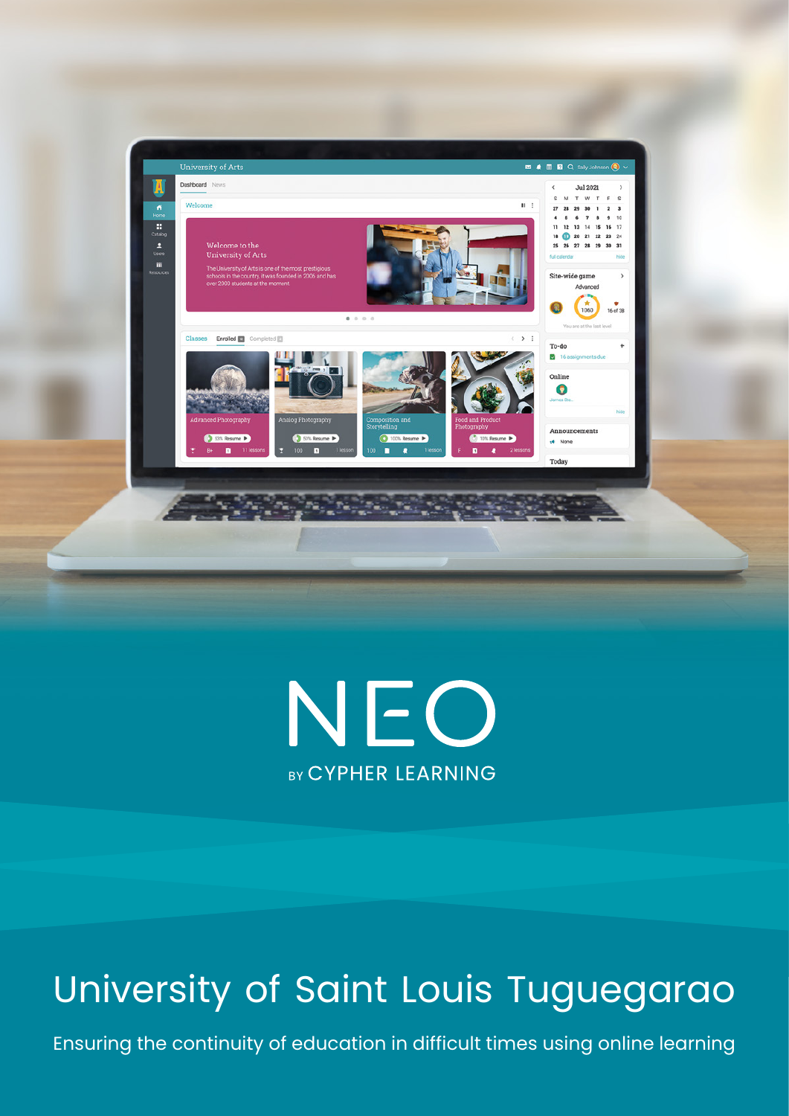



# University of Saint Louis Tuguegarao

Ensuring the continuity of education in difficult times using online learning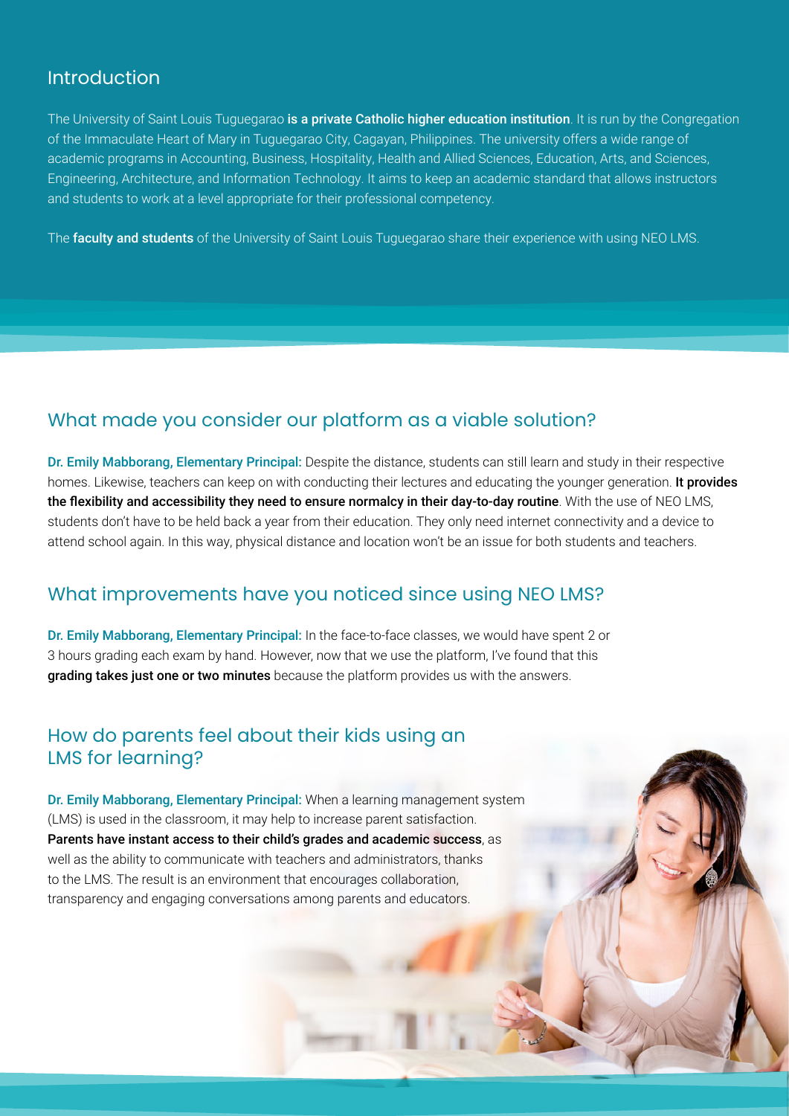#### Introduction

The University of Saint Louis Tuguegarao is a private Catholic higher education institution. It is run by the Congregation of the Immaculate Heart of Mary in Tuguegarao City, Cagayan, Philippines. The university offers a wide range of academic programs in Accounting, Business, Hospitality, Health and Allied Sciences, Education, Arts, and Sciences, Engineering, Architecture, and Information Technology. It aims to keep an academic standard that allows instructors and students to work at a level appropriate for their professional competency.

The faculty and students of the University of Saint Louis Tuguegarao share their experience with using NEO LMS.

#### What made you consider our platform as a viable solution?

Dr. Emily Mabborang, Elementary Principal: Despite the distance, students can still learn and study in their respective homes. Likewise, teachers can keep on with conducting their lectures and educating the younger generation. It provides the flexibility and accessibility they need to ensure normalcy in their day-to-day routine. With the use of NEO LMS, students don't have to be held back a year from their education. They only need internet connectivity and a device to attend school again. In this way, physical distance and location won't be an issue for both students and teachers.

## What improvements have you noticed since using NEO LMS?

Dr. Emily Mabborang, Elementary Principal: In the face-to-face classes, we would have spent 2 or 3 hours grading each exam by hand. However, now that we use the platform, I've found that this grading takes just one or two minutes because the platform provides us with the answers.

## How do parents feel about their kids using an LMS for learning?

Dr. Emily Mabborang, Elementary Principal: When a learning management system (LMS) is used in the classroom, it may help to increase parent satisfaction. Parents have instant access to their child's grades and academic success, as well as the ability to communicate with teachers and administrators, thanks to the LMS. The result is an environment that encourages collaboration, transparency and engaging conversations among parents and educators.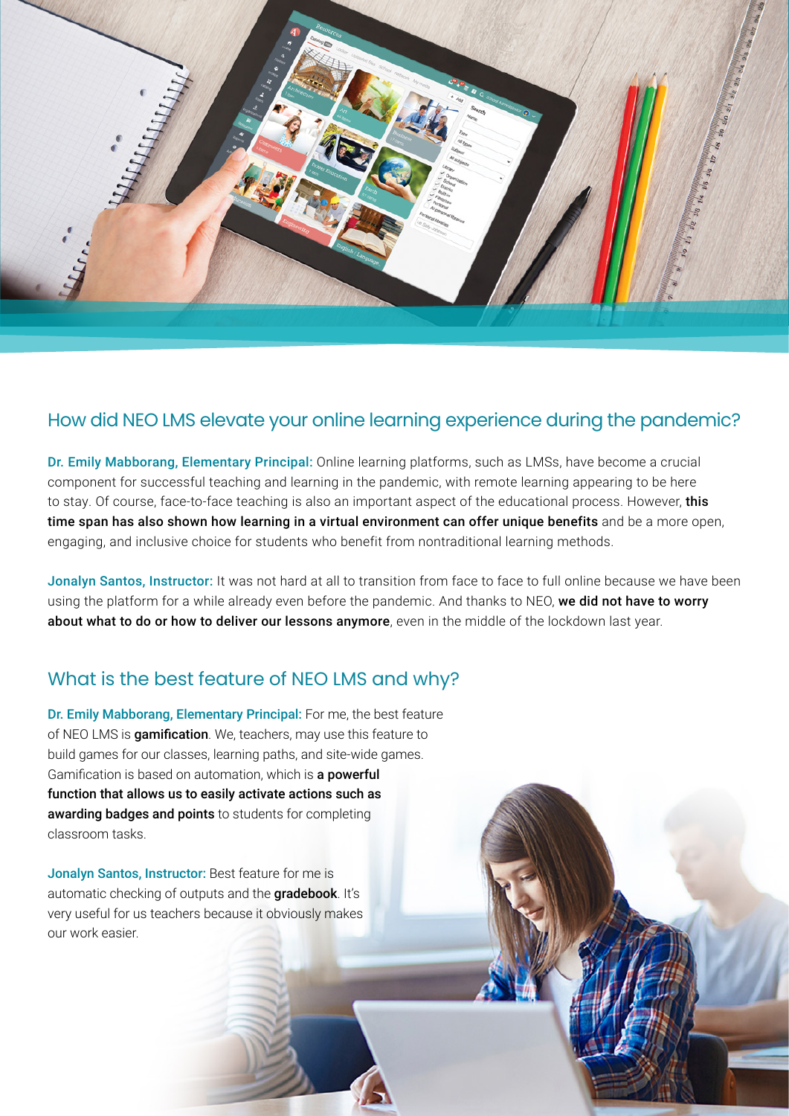

## How did NEO LMS elevate your online learning experience during the pandemic?

Dr. Emily Mabborang, Elementary Principal: Online learning platforms, such as LMSs, have become a crucial component for successful teaching and learning in the pandemic, with remote learning appearing to be here to stay. Of course, face-to-face teaching is also an important aspect of the educational process. However, this time span has also shown how learning in a virtual environment can offer unique benefits and be a more open, engaging, and inclusive choice for students who benefit from nontraditional learning methods.

Jonalyn Santos, Instructor: It was not hard at all to transition from face to face to full online because we have been using the platform for a while already even before the pandemic. And thanks to NEO, we did not have to worry about what to do or how to deliver our lessons anymore, even in the middle of the lockdown last year.

# What is the best feature of NEO LMS and why?

Dr. Emily Mabborang, Elementary Principal: For me, the best feature of NEO LMS is gamification. We, teachers, may use this feature to build games for our classes, learning paths, and site-wide games. Gamification is based on automation, which is a powerful function that allows us to easily activate actions such as awarding badges and points to students for completing classroom tasks.

Jonalyn Santos, Instructor: Best feature for me is automatic checking of outputs and the **gradebook**. It's very useful for us teachers because it obviously makes our work easier.